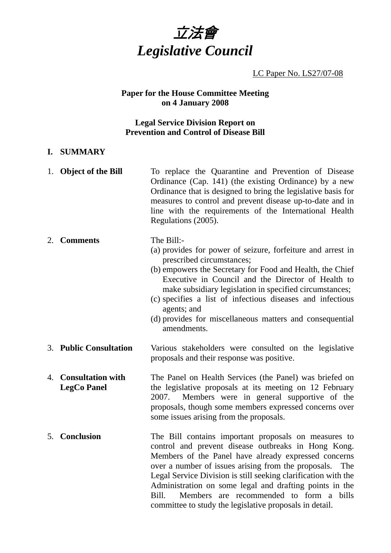

LC Paper No. LS27/07-08

### **Paper for the House Committee Meeting on 4 January 2008**

### **Legal Service Division Report on Prevention and Control of Disease Bill**

### **I. SUMMARY**

1. **Object of the Bill** To replace the Quarantine and Prevention of Disease Ordinance (Cap. 141) (the existing Ordinance) by a new Ordinance that is designed to bring the legislative basis for measures to control and prevent disease up-to-date and in line with the requirements of the International Health Regulations (2005).

#### 2. **Comments** The Bill:-

- (a) provides for power of seizure, forfeiture and arrest in prescribed circumstances;
- (b) empowers the Secretary for Food and Health, the Chief Executive in Council and the Director of Health to make subsidiary legislation in specified circumstances;
- (c) specifies a list of infectious diseases and infectious agents; and
- (d) provides for miscellaneous matters and consequential amendments.
- 3. **Public Consultation** Various stakeholders were consulted on the legislative proposals and their response was positive.
- 4. **Consultation with LegCo Panel**  The Panel on Health Services (the Panel) was briefed on the legislative proposals at its meeting on 12 February 2007. Members were in general supportive of the proposals, though some members expressed concerns over some issues arising from the proposals.
- 5. **Conclusion** The Bill contains important proposals on measures to control and prevent disease outbreaks in Hong Kong. Members of the Panel have already expressed concerns over a number of issues arising from the proposals. The Legal Service Division is still seeking clarification with the Administration on some legal and drafting points in the Bill. Members are recommended to form a bills committee to study the legislative proposals in detail.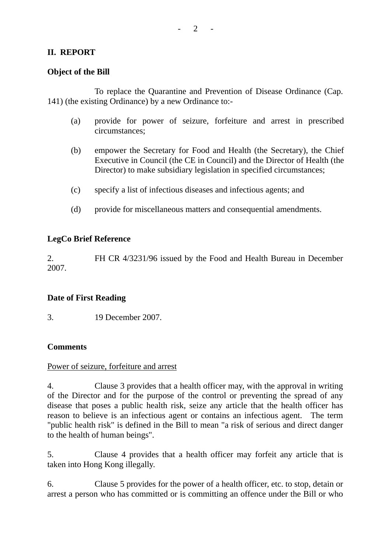# **II. REPORT**

### **Object of the Bill**

1. To replace the Quarantine and Prevention of Disease Ordinance (Cap. 141) (the existing Ordinance) by a new Ordinance to:-

- (a) provide for power of seizure, forfeiture and arrest in prescribed circumstances;
- (b) empower the Secretary for Food and Health (the Secretary), the Chief Executive in Council (the CE in Council) and the Director of Health (the Director) to make subsidiary legislation in specified circumstances;
- (c) specify a list of infectious diseases and infectious agents; and
- (d) provide for miscellaneous matters and consequential amendments.

### **LegCo Brief Reference**

2. FH CR 4/3231/96 issued by the Food and Health Bureau in December 2007.

## **Date of First Reading**

3. 19 December 2007.

## **Comments**

### Power of seizure, forfeiture and arrest

4. Clause 3 provides that a health officer may, with the approval in writing of the Director and for the purpose of the control or preventing the spread of any disease that poses a public health risk, seize any article that the health officer has reason to believe is an infectious agent or contains an infectious agent. The term "public health risk" is defined in the Bill to mean "a risk of serious and direct danger to the health of human beings".

5. Clause 4 provides that a health officer may forfeit any article that is taken into Hong Kong illegally.

6. Clause 5 provides for the power of a health officer, etc. to stop, detain or arrest a person who has committed or is committing an offence under the Bill or who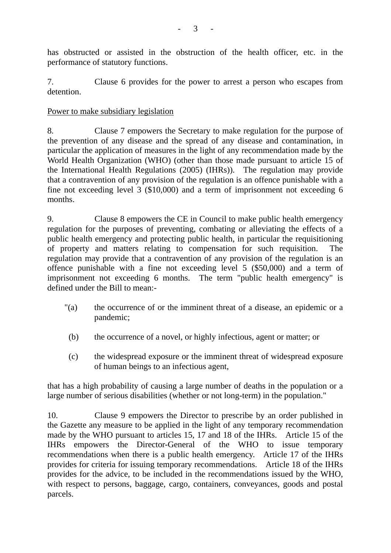has obstructed or assisted in the obstruction of the health officer, etc. in the performance of statutory functions.

7. Clause 6 provides for the power to arrest a person who escapes from detention.

# Power to make subsidiary legislation

8. Clause 7 empowers the Secretary to make regulation for the purpose of the prevention of any disease and the spread of any disease and contamination, in particular the application of measures in the light of any recommendation made by the World Health Organization (WHO) (other than those made pursuant to article 15 of the International Health Regulations (2005) (IHRs)). The regulation may provide that a contravention of any provision of the regulation is an offence punishable with a fine not exceeding level 3 (\$10,000) and a term of imprisonment not exceeding 6 months.

9. Clause 8 empowers the CE in Council to make public health emergency regulation for the purposes of preventing, combating or alleviating the effects of a public health emergency and protecting public health, in particular the requisitioning of property and matters relating to compensation for such requisition. The regulation may provide that a contravention of any provision of the regulation is an offence punishable with a fine not exceeding level 5 (\$50,000) and a term of imprisonment not exceeding 6 months. The term "public health emergency" is defined under the Bill to mean:-

- "(a) the occurrence of or the imminent threat of a disease, an epidemic or a pandemic;
- (b) the occurrence of a novel, or highly infectious, agent or matter; or
- (c) the widespread exposure or the imminent threat of widespread exposure of human beings to an infectious agent,

that has a high probability of causing a large number of deaths in the population or a large number of serious disabilities (whether or not long-term) in the population."

10. Clause 9 empowers the Director to prescribe by an order published in the Gazette any measure to be applied in the light of any temporary recommendation made by the WHO pursuant to articles 15, 17 and 18 of the IHRs. Article 15 of the IHRs empowers the Director-General of the WHO to issue temporary recommendations when there is a public health emergency. Article 17 of the IHRs provides for criteria for issuing temporary recommendations. Article 18 of the IHRs provides for the advice, to be included in the recommendations issued by the WHO, with respect to persons, baggage, cargo, containers, conveyances, goods and postal parcels.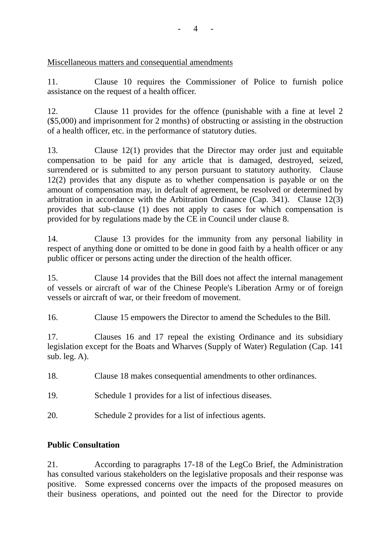Miscellaneous matters and consequential amendments

11. Clause 10 requires the Commissioner of Police to furnish police assistance on the request of a health officer.

12. Clause 11 provides for the offence (punishable with a fine at level 2 (\$5,000) and imprisonment for 2 months) of obstructing or assisting in the obstruction of a health officer, etc. in the performance of statutory duties.

13. Clause 12(1) provides that the Director may order just and equitable compensation to be paid for any article that is damaged, destroyed, seized, surrendered or is submitted to any person pursuant to statutory authority. Clause 12(2) provides that any dispute as to whether compensation is payable or on the amount of compensation may, in default of agreement, be resolved or determined by arbitration in accordance with the Arbitration Ordinance (Cap. 341). Clause 12(3) provides that sub-clause (1) does not apply to cases for which compensation is provided for by regulations made by the CE in Council under clause 8.

14. Clause 13 provides for the immunity from any personal liability in respect of anything done or omitted to be done in good faith by a health officer or any public officer or persons acting under the direction of the health officer.

15. Clause 14 provides that the Bill does not affect the internal management of vessels or aircraft of war of the Chinese People's Liberation Army or of foreign vessels or aircraft of war, or their freedom of movement.

16. Clause 15 empowers the Director to amend the Schedules to the Bill.

17. Clauses 16 and 17 repeal the existing Ordinance and its subsidiary legislation except for the Boats and Wharves (Supply of Water) Regulation (Cap. 141 sub. leg. A).

18. Clause 18 makes consequential amendments to other ordinances.

19. Schedule 1 provides for a list of infectious diseases.

20. Schedule 2 provides for a list of infectious agents.

# **Public Consultation**

21. According to paragraphs 17-18 of the LegCo Brief, the Administration has consulted various stakeholders on the legislative proposals and their response was positive. Some expressed concerns over the impacts of the proposed measures on their business operations, and pointed out the need for the Director to provide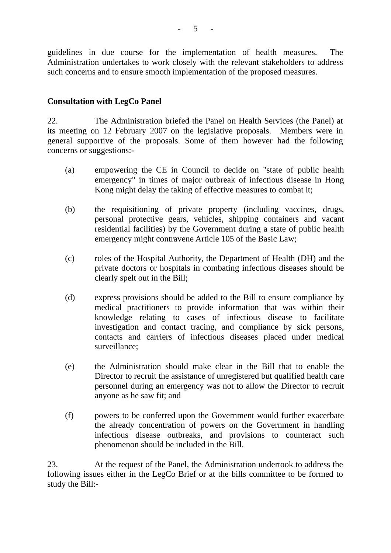guidelines in due course for the implementation of health measures. The Administration undertakes to work closely with the relevant stakeholders to address such concerns and to ensure smooth implementation of the proposed measures.

## **Consultation with LegCo Panel**

22. The Administration briefed the Panel on Health Services (the Panel) at its meeting on 12 February 2007 on the legislative proposals. Members were in general supportive of the proposals. Some of them however had the following concerns or suggestions:-

- (a) empowering the CE in Council to decide on "state of public health emergency" in times of major outbreak of infectious disease in Hong Kong might delay the taking of effective measures to combat it;
- (b) the requisitioning of private property (including vaccines, drugs, personal protective gears, vehicles, shipping containers and vacant residential facilities) by the Government during a state of public health emergency might contravene Article 105 of the Basic Law;
- (c) roles of the Hospital Authority, the Department of Health (DH) and the private doctors or hospitals in combating infectious diseases should be clearly spelt out in the Bill;
- (d) express provisions should be added to the Bill to ensure compliance by medical practitioners to provide information that was within their knowledge relating to cases of infectious disease to facilitate investigation and contact tracing, and compliance by sick persons, contacts and carriers of infectious diseases placed under medical surveillance;
- (e) the Administration should make clear in the Bill that to enable the Director to recruit the assistance of unregistered but qualified health care personnel during an emergency was not to allow the Director to recruit anyone as he saw fit; and
- (f) powers to be conferred upon the Government would further exacerbate the already concentration of powers on the Government in handling infectious disease outbreaks, and provisions to counteract such phenomenon should be included in the Bill.

23. At the request of the Panel, the Administration undertook to address the following issues either in the LegCo Brief or at the bills committee to be formed to study the Bill:-